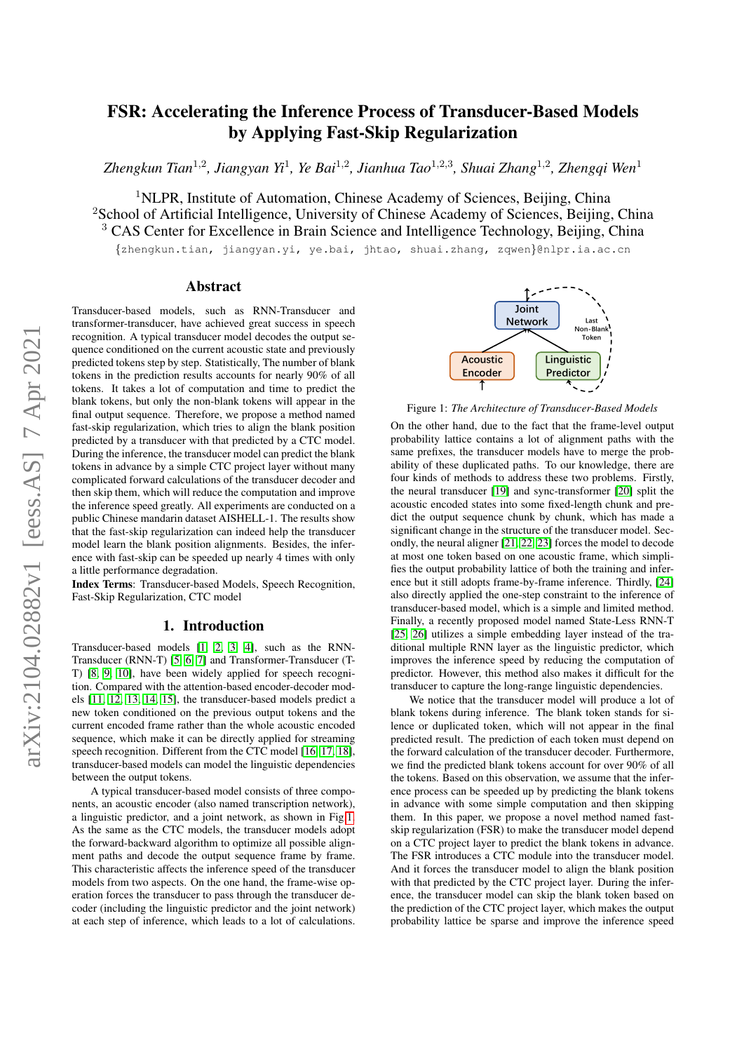# FSR: Accelerating the Inference Process of Transducer-Based Models by Applying Fast-Skip Regularization

*Zhengkun Tian*<sup>1</sup>,<sup>2</sup> *, Jiangyan Yi*<sup>1</sup> *, Ye Bai*<sup>1</sup>,<sup>2</sup> *, Jianhua Tao*<sup>1</sup>,2,<sup>3</sup> *, Shuai Zhang*<sup>1</sup>,<sup>2</sup> *, Zhengqi Wen*<sup>1</sup>

<sup>1</sup>NLPR, Institute of Automation, Chinese Academy of Sciences, Beijing, China <sup>2</sup>School of Artificial Intelligence, University of Chinese Academy of Sciences, Beijing, China <sup>3</sup> CAS Center for Excellence in Brain Science and Intelligence Technology, Beijing, China

{zhengkun.tian, jiangyan.yi, ye.bai, jhtao, shuai.zhang, zqwen}@nlpr.ia.ac.cn

## Abstract

Transducer-based models, such as RNN-Transducer and transformer-transducer, have achieved great success in speech recognition. A typical transducer model decodes the output sequence conditioned on the current acoustic state and previously predicted tokens step by step. Statistically, The number of blank tokens in the prediction results accounts for nearly 90% of all tokens. It takes a lot of computation and time to predict the blank tokens, but only the non-blank tokens will appear in the final output sequence. Therefore, we propose a method named fast-skip regularization, which tries to align the blank position predicted by a transducer with that predicted by a CTC model. During the inference, the transducer model can predict the blank tokens in advance by a simple CTC project layer without many complicated forward calculations of the transducer decoder and then skip them, which will reduce the computation and improve the inference speed greatly. All experiments are conducted on a public Chinese mandarin dataset AISHELL-1. The results show that the fast-skip regularization can indeed help the transducer model learn the blank position alignments. Besides, the inference with fast-skip can be speeded up nearly 4 times with only a little performance degradation.

Index Terms: Transducer-based Models, Speech Recognition, Fast-Skip Regularization, CTC model

## 1. Introduction

Transducer-based models [\[1,](#page-4-0) [2,](#page-4-1) [3,](#page-4-2) [4\]](#page-4-3), such as the RNN-Transducer (RNN-T) [\[5,](#page-4-4) [6,](#page-4-5) [7\]](#page-4-6) and Transformer-Transducer (T-T) [\[8,](#page-4-7) [9,](#page-4-8) [10\]](#page-4-9), have been widely applied for speech recognition. Compared with the attention-based encoder-decoder models [\[11,](#page-4-10) [12,](#page-4-11) [13,](#page-4-12) [14,](#page-4-13) [15\]](#page-4-14), the transducer-based models predict a new token conditioned on the previous output tokens and the current encoded frame rather than the whole acoustic encoded sequence, which make it can be directly applied for streaming speech recognition. Different from the CTC model [\[16,](#page-4-15) [17,](#page-4-16) [18\]](#page-4-17), transducer-based models can model the linguistic dependencies between the output tokens.

A typical transducer-based model consists of three components, an acoustic encoder (also named transcription network). a linguistic predictor, and a joint network, as shown in Fig[.1.](#page-0-0) As the same as the CTC models, the transducer models adopt the forward-backward algorithm to optimize all possible alignment paths and decode the output sequence frame by frame. This characteristic affects the inference speed of the transducer models from two aspects. On the one hand, the frame-wise operation forces the transducer to pass through the transducer decoder (including the linguistic predictor and the joint network) at each step of inference, which leads to a lot of calculations.

<span id="page-0-0"></span>

Figure 1: *The Architecture of Transducer-Based Models*

On the other hand, due to the fact that the frame-level output probability lattice contains a lot of alignment paths with the same prefixes, the transducer models have to merge the probability of these duplicated paths. To our knowledge, there are four kinds of methods to address these two problems. Firstly, the neural transducer [\[19\]](#page-4-18) and sync-transformer [\[20\]](#page-4-19) split the acoustic encoded states into some fixed-length chunk and predict the output sequence chunk by chunk, which has made a significant change in the structure of the transducer model. Secondly, the neural aligner [\[21,](#page-4-20) [22,](#page-4-21) [23\]](#page-4-22) forces the model to decode at most one token based on one acoustic frame, which simplifies the output probability lattice of both the training and inference but it still adopts frame-by-frame inference. Thirdly, [\[24\]](#page-4-23) also directly applied the one-step constraint to the inference of transducer-based model, which is a simple and limited method. Finally, a recently proposed model named State-Less RNN-T [\[25,](#page-4-24) [26\]](#page-4-25) utilizes a simple embedding layer instead of the traditional multiple RNN layer as the linguistic predictor, which improves the inference speed by reducing the computation of predictor. However, this method also makes it difficult for the transducer to capture the long-range linguistic dependencies.

We notice that the transducer model will produce a lot of blank tokens during inference. The blank token stands for silence or duplicated token, which will not appear in the final predicted result. The prediction of each token must depend on the forward calculation of the transducer decoder. Furthermore, we find the predicted blank tokens account for over 90% of all the tokens. Based on this observation, we assume that the inference process can be speeded up by predicting the blank tokens in advance with some simple computation and then skipping them. In this paper, we propose a novel method named fastskip regularization (FSR) to make the transducer model depend on a CTC project layer to predict the blank tokens in advance. The FSR introduces a CTC module into the transducer model. And it forces the transducer model to align the blank position with that predicted by the CTC project layer. During the inference, the transducer model can skip the blank token based on the prediction of the CTC project layer, which makes the output probability lattice be sparse and improve the inference speed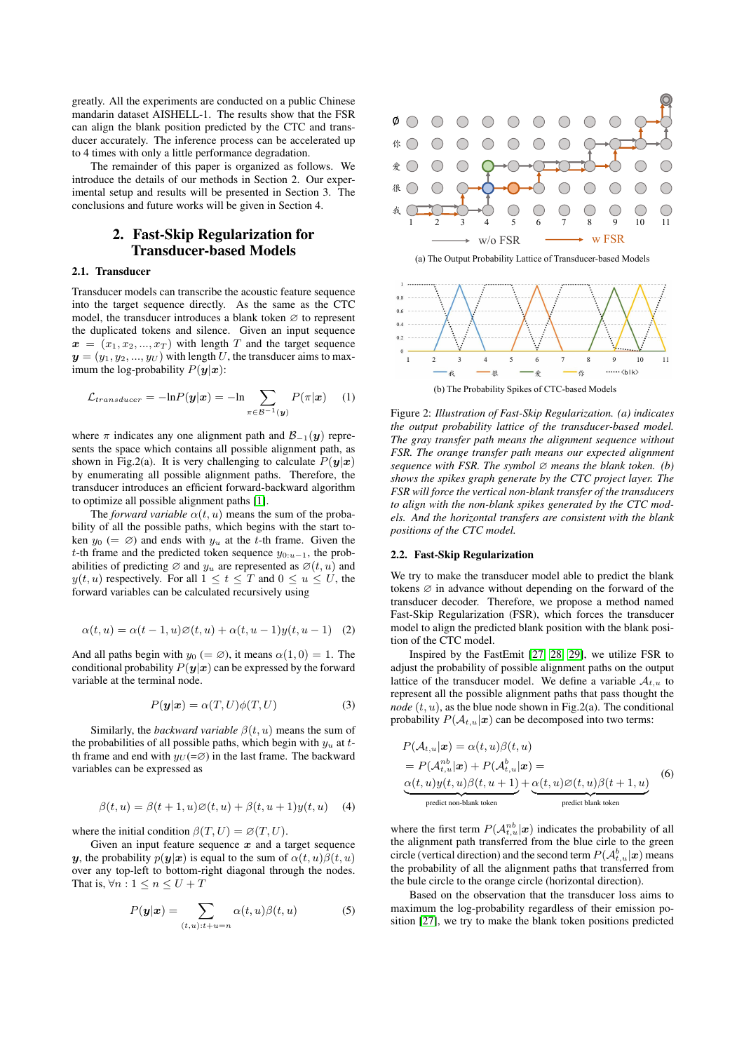greatly. All the experiments are conducted on a public Chinese mandarin dataset AISHELL-1. The results show that the FSR can align the blank position predicted by the CTC and transducer accurately. The inference process can be accelerated up to 4 times with only a little performance degradation.

The remainder of this paper is organized as follows. We introduce the details of our methods in Section 2. Our experimental setup and results will be presented in Section 3. The conclusions and future works will be given in Section 4.

# 2. Fast-Skip Regularization for Transducer-based Models

#### 2.1. Transducer

Transducer models can transcribe the acoustic feature sequence into the target sequence directly. As the same as the CTC model, the transducer introduces a blank token  $\varnothing$  to represent the duplicated tokens and silence. Given an input sequence  $x = (x_1, x_2, ..., x_T)$  with length T and the target sequence  $y = (y_1, y_2, ..., y_U)$  with length U, the transducer aims to maximum the log-probability  $P(y|x)$ :

$$
\mathcal{L}_{transducer} = -\ln P(\mathbf{y}|\mathbf{x}) = -\ln \sum_{\pi \in \mathcal{B}^{-1}(\mathbf{y})} P(\pi|\mathbf{x}) \tag{1}
$$

where  $\pi$  indicates any one alignment path and  $\mathcal{B}_{-1}(\mathbf{y})$  represents the space which contains all possible alignment path, as shown in Fig.2(a). It is very challenging to calculate  $P(y|x)$ by enumerating all possible alignment paths. Therefore, the transducer introduces an efficient forward-backward algorithm to optimize all possible alignment paths [\[1\]](#page-4-0).

The *forward variable*  $\alpha(t, u)$  means the sum of the probability of all the possible paths, which begins with the start token  $y_0$  (=  $\varnothing$ ) and ends with  $y_u$  at the t-th frame. Given the t-th frame and the predicted token sequence  $y_{0:u-1}$ , the probabilities of predicting  $\varnothing$  and  $y_u$  are represented as  $\varnothing(t, u)$  and  $y(t, u)$  respectively. For all  $1 \le t \le T$  and  $0 \le u \le U$ , the forward variables can be calculated recursively using

$$
\alpha(t, u) = \alpha(t - 1, u)\emptyset(t, u) + \alpha(t, u - 1)y(t, u - 1)
$$
 (2)

And all paths begin with  $y_0 (= \emptyset)$ , it means  $\alpha(1, 0) = 1$ . The conditional probability  $P(y|x)$  can be expressed by the forward variable at the terminal node.

$$
P(\mathbf{y}|\mathbf{x}) = \alpha(T, U)\phi(T, U) \tag{3}
$$

Similarly, the *backward variable*  $\beta(t, u)$  means the sum of the probabilities of all possible paths, which begin with  $y_u$  at tth frame and end with  $y_U (= \emptyset)$  in the last frame. The backward variables can be expressed as

$$
\beta(t, u) = \beta(t+1, u)\emptyset(t, u) + \beta(t, u+1)y(t, u)
$$
 (4)

where the initial condition  $\beta(T, U) = \varnothing(T, U)$ .

Given an input feature sequence  $x$  and a target sequence y, the probability  $p(y|x)$  is equal to the sum of  $\alpha(t, u)\beta(t, u)$ over any top-left to bottom-right diagonal through the nodes. That is,  $\forall n: 1 \leq n \leq U + T$ 

$$
P(\mathbf{y}|\mathbf{x}) = \sum_{(t,u):t+u=n} \alpha(t,u)\beta(t,u) \tag{5}
$$



(a) The Output Probability Lattice of Transducer-based Models



Figure 2: *Illustration of Fast-Skip Regularization. (a) indicates the output probability lattice of the transducer-based model. The gray transfer path means the alignment sequence without FSR. The orange transfer path means our expected alignment sequence with FSR. The symbol* ∅ *means the blank token. (b) shows the spikes graph generate by the CTC project layer. The FSR will force the vertical non-blank transfer of the transducers to align with the non-blank spikes generated by the CTC models. And the horizontal transfers are consistent with the blank positions of the CTC model.*

#### 2.2. Fast-Skip Regularization

We try to make the transducer model able to predict the blank tokens  $\varnothing$  in advance without depending on the forward of the transducer decoder. Therefore, we propose a method named Fast-Skip Regularization (FSR), which forces the transducer model to align the predicted blank position with the blank position of the CTC model.

Inspired by the FastEmit [\[27,](#page-4-26) [28,](#page-4-27) [29\]](#page-4-28), we utilize FSR to adjust the probability of possible alignment paths on the output lattice of the transducer model. We define a variable  $A_{t,u}$  to represent all the possible alignment paths that pass thought the *node*  $(t, u)$ , as the blue node shown in Fig.2(a). The conditional probability  $P(\mathcal{A}_{t,u}|\boldsymbol{x})$  can be decomposed into two terms:

$$
P(\mathcal{A}_{t,u}|\mathbf{x}) = \alpha(t,u)\beta(t,u)
$$
  
=  $P(\mathcal{A}_{t,u}^{nb}|\mathbf{x}) + P(\mathcal{A}_{t,u}^{b}|\mathbf{x}) =$   
 $\alpha(t,u)y(t,u)\beta(t,u+1) + \alpha(t,u)\beta(t,u)\beta(t+1,u)$  (6)  
predict non-blank token  
predict blank token

where the first term  $P(A_{t,u}^{nb}|\boldsymbol{x})$  indicates the probability of all the alignment path transferred from the blue cirle to the green circle (vertical direction) and the second term  $P(A_{t,u}^b|\mathbf{x})$  means the probability of all the alignment paths that transferred from the bule circle to the orange circle (horizontal direction).

Based on the observation that the transducer loss aims to maximum the log-probability regardless of their emission position [\[27\]](#page-4-26), we try to make the blank token positions predicted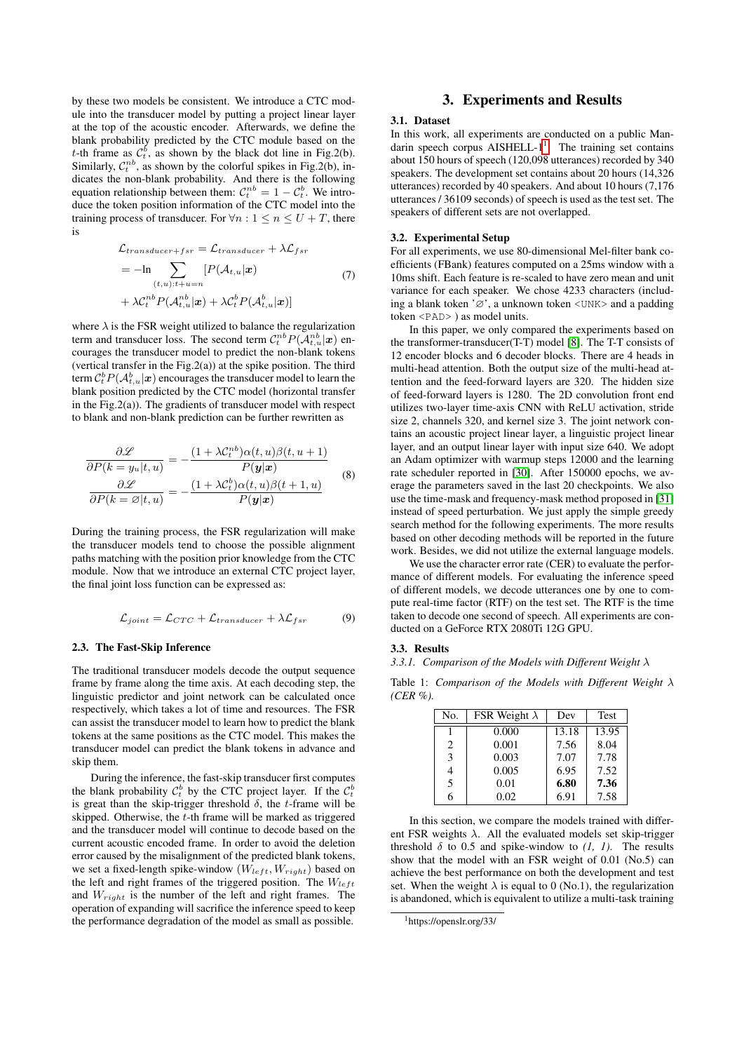by these two models be consistent. We introduce a CTC module into the transducer model by putting a project linear layer at the top of the acoustic encoder. Afterwards, we define the blank probability predicted by the CTC module based on the t-th frame as  $\mathcal{C}_t^b$ , as shown by the black dot line in Fig.2(b). Similarly,  $C_t^{nb}$ , as shown by the colorful spikes in Fig.2(b), indicates the non-blank probability. And there is the following equation relationship between them:  $C_t^{nb} = 1 - C_t^b$ . We introduce the token position information of the CTC model into the training process of transducer. For  $\forall n: 1 \leq n \leq U + T$ , there is

$$
\mathcal{L}_{transducer+fsr} = \mathcal{L}_{transducer} + \lambda \mathcal{L}_{fsr}
$$
\n
$$
= -\ln \sum_{(t,u):t+u=n} [P(\mathcal{A}_{t,u}|\boldsymbol{x})
$$
\n
$$
+ \lambda C_t^{nb} P(\mathcal{A}_{t,u}^{nb}|\boldsymbol{x}) + \lambda C_t^{b} P(\mathcal{A}_{t,u}^{b}|\boldsymbol{x})]
$$
\n(7)

where  $\lambda$  is the FSR weight utilized to balance the regularization term and transducer loss. The second term  $C_t^{nb} P(A_{t,u}^{nb} | \mathbf{x})$  encourages the transducer model to predict the non-blank tokens (vertical transfer in the Fig.  $2(a)$ ) at the spike position. The third term  $\mathcal{C}_t^b P(\mathcal{A}_{t,u}^b|\bm{x})$  encourages the transducer model to learn the blank position predicted by the CTC model (horizontal transfer in the Fig.2(a)). The gradients of transducer model with respect to blank and non-blank prediction can be further rewritten as

$$
\frac{\partial \mathcal{L}}{\partial P(k = y_u | t, u)} = -\frac{(1 + \lambda C_t^{nb})\alpha(t, u)\beta(t, u + 1)}{P(\mathbf{y}|\mathbf{x})}
$$
\n
$$
\frac{\partial \mathcal{L}}{\partial P(k = \varnothing | t, u)} = -\frac{(1 + \lambda C_t^b)\alpha(t, u)\beta(t + 1, u)}{P(\mathbf{y}|\mathbf{x})}
$$
\n(8)

During the training process, the FSR regularization will make the transducer models tend to choose the possible alignment paths matching with the position prior knowledge from the CTC module. Now that we introduce an external CTC project layer, the final joint loss function can be expressed as:

$$
\mathcal{L}_{joint} = \mathcal{L}_{CTC} + \mathcal{L}_{transducer} + \lambda \mathcal{L}_{fsr} \tag{9}
$$

#### 2.3. The Fast-Skip Inference

The traditional transducer models decode the output sequence frame by frame along the time axis. At each decoding step, the linguistic predictor and joint network can be calculated once respectively, which takes a lot of time and resources. The FSR can assist the transducer model to learn how to predict the blank tokens at the same positions as the CTC model. This makes the transducer model can predict the blank tokens in advance and skip them.

During the inference, the fast-skip transducer first computes the blank probability  $C_t^b$  by the CTC project layer. If the  $C_t^b$ is great than the skip-trigger threshold  $\delta$ , the t-frame will be skipped. Otherwise, the t-th frame will be marked as triggered and the transducer model will continue to decode based on the current acoustic encoded frame. In order to avoid the deletion error caused by the misalignment of the predicted blank tokens, we set a fixed-length spike-window  $(W_{left}, W_{right})$  based on the left and right frames of the triggered position. The  $W_{left}$ and  $W_{right}$  is the number of the left and right frames. The operation of expanding will sacrifice the inference speed to keep the performance degradation of the model as small as possible.

# 3. Experiments and Results

#### 3.1. Dataset

In this work, all experiments are conducted on a public Mandarin speech corpus AISHELL- $1^1$  $1^1$ . The training set contains about 150 hours of speech (120,098 utterances) recorded by 340 speakers. The development set contains about 20 hours (14,326 utterances) recorded by 40 speakers. And about 10 hours (7,176 utterances / 36109 seconds) of speech is used as the test set. The speakers of different sets are not overlapped.

#### 3.2. Experimental Setup

For all experiments, we use 80-dimensional Mel-filter bank coefficients (FBank) features computed on a 25ms window with a 10ms shift. Each feature is re-scaled to have zero mean and unit variance for each speaker. We chose 4233 characters (including a blank token ' $\varnothing$ ', a unknown token <UNK> and a padding token  $\langle$ PAD> ) as model units.

In this paper, we only compared the experiments based on the transformer-transducer(T-T) model [\[8\]](#page-4-7). The T-T consists of 12 encoder blocks and 6 decoder blocks. There are 4 heads in multi-head attention. Both the output size of the multi-head attention and the feed-forward layers are 320. The hidden size of feed-forward layers is 1280. The 2D convolution front end utilizes two-layer time-axis CNN with ReLU activation, stride size 2, channels 320, and kernel size 3. The joint network contains an acoustic project linear layer, a linguistic project linear layer, and an output linear layer with input size 640. We adopt an Adam optimizer with warmup steps 12000 and the learning rate scheduler reported in [\[30\]](#page-4-29). After 150000 epochs, we average the parameters saved in the last 20 checkpoints. We also use the time-mask and frequency-mask method proposed in [\[31\]](#page-4-30) instead of speed perturbation. We just apply the simple greedy search method for the following experiments. The more results based on other decoding methods will be reported in the future work. Besides, we did not utilize the external language models.

We use the character error rate (CER) to evaluate the performance of different models. For evaluating the inference speed of different models, we decode utterances one by one to compute real-time factor (RTF) on the test set. The RTF is the time taken to decode one second of speech. All experiments are conducted on a GeForce RTX 2080Ti 12G GPU.

#### 3.3. Results

*3.3.1. Comparison of the Models with Different Weight* λ

Table 1: *Comparison of the Models with Different Weight* λ *(CER %).*

| No. | FSR Weight $\lambda$ | Dev   | Test  |
|-----|----------------------|-------|-------|
|     | 0.000                | 13.18 | 13.95 |
| 2   | 0.001                | 7.56  | 8.04  |
| 3   | 0.003                | 7.07  | 7.78  |
| 4   | 0.005                | 6.95  | 7.52  |
| 5   | 0.01                 | 6.80  | 7.36  |
| 6   | 0.02                 | 6.91  | 7.58  |

In this section, we compare the models trained with different FSR weights  $\lambda$ . All the evaluated models set skip-trigger threshold  $\delta$  to 0.5 and spike-window to  $(1, 1)$ . The results show that the model with an FSR weight of 0.01 (No.5) can achieve the best performance on both the development and test set. When the weight  $\lambda$  is equal to 0 (No.1), the regularization is abandoned, which is equivalent to utilize a multi-task training

<span id="page-2-0"></span><sup>1</sup>https://openslr.org/33/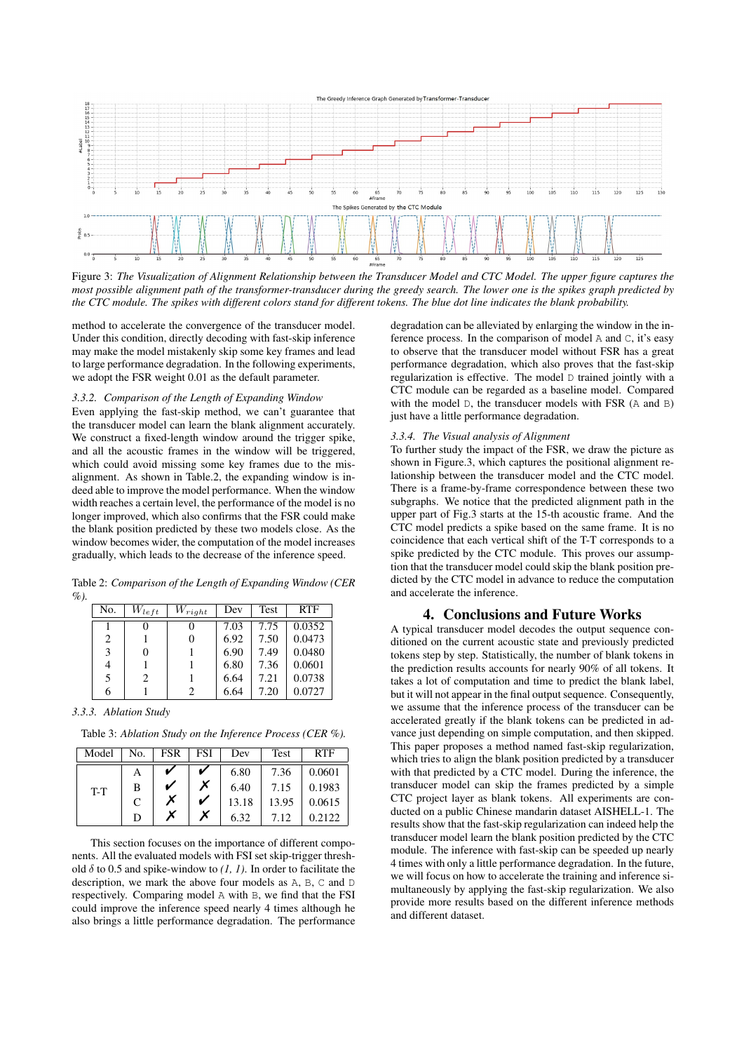

Figure 3: *The Visualization of Alignment Relationship between the Transducer Model and CTC Model. The upper figure captures the most possible alignment path of the transformer-transducer during the greedy search. The lower one is the spikes graph predicted by the CTC module. The spikes with different colors stand for different tokens. The blue dot line indicates the blank probability.*

method to accelerate the convergence of the transducer model. Under this condition, directly decoding with fast-skip inference may make the model mistakenly skip some key frames and lead to large performance degradation. In the following experiments, we adopt the FSR weight 0.01 as the default parameter.

#### *3.3.2. Comparison of the Length of Expanding Window*

Even applying the fast-skip method, we can't guarantee that the transducer model can learn the blank alignment accurately. We construct a fixed-length window around the trigger spike, and all the acoustic frames in the window will be triggered, which could avoid missing some key frames due to the misalignment. As shown in Table.2, the expanding window is indeed able to improve the model performance. When the window width reaches a certain level, the performance of the model is no longer improved, which also confirms that the FSR could make the blank position predicted by these two models close. As the window becomes wider, the computation of the model increases gradually, which leads to the decrease of the inference speed.

Table 2: *Comparison of the Length of Expanding Window (CER %).*

| No. | $W_{left}$ | $W_{right}$ | Dev  | Test | <b>RTF</b> |
|-----|------------|-------------|------|------|------------|
|     |            |             | 7.03 | 7.75 | 0.0352     |
| 2   |            |             | 6.92 | 7.50 | 0.0473     |
| 3   | 0          |             | 6.90 | 7.49 | 0.0480     |
| 4   |            |             | 6.80 | 7.36 | 0.0601     |
| 5   | 2          |             | 6.64 | 7.21 | 0.0738     |
| n   |            | 2           | 6.64 | 7.20 | 0.0727     |

#### *3.3.3. Ablation Study*

Table 3: *Ablation Study on the Inference Process (CER %).*

| Model | No. | FSR | FSI | Dev   | <b>Test</b> | <b>RTF</b> |
|-------|-----|-----|-----|-------|-------------|------------|
| $T-T$ | А   |     |     | 6.80  | 7.36        | 0.0601     |
|       | В   |     |     | 6.40  | 7.15        | 0.1983     |
|       | C   |     |     | 13.18 | 13.95       | 0.0615     |
|       | D   |     |     | 6.32  | 7.12        | 0.2122     |

This section focuses on the importance of different components. All the evaluated models with FSI set skip-trigger threshold  $\delta$  to 0.5 and spike-window to  $(1, 1)$ . In order to facilitate the description, we mark the above four models as A, B, C and D respectively. Comparing model A with B, we find that the FSI could improve the inference speed nearly 4 times although he also brings a little performance degradation. The performance

degradation can be alleviated by enlarging the window in the inference process. In the comparison of model A and C, it's easy to observe that the transducer model without FSR has a great performance degradation, which also proves that the fast-skip regularization is effective. The model D trained jointly with a CTC module can be regarded as a baseline model. Compared with the model D, the transducer models with FSR (A and B) just have a little performance degradation.

#### *3.3.4. The Visual analysis of Alignment*

To further study the impact of the FSR, we draw the picture as shown in Figure.3, which captures the positional alignment relationship between the transducer model and the CTC model. There is a frame-by-frame correspondence between these two subgraphs. We notice that the predicted alignment path in the upper part of Fig.3 starts at the 15-th acoustic frame. And the CTC model predicts a spike based on the same frame. It is no coincidence that each vertical shift of the T-T corresponds to a spike predicted by the CTC module. This proves our assumption that the transducer model could skip the blank position predicted by the CTC model in advance to reduce the computation and accelerate the inference.

#### 4. Conclusions and Future Works

A typical transducer model decodes the output sequence conditioned on the current acoustic state and previously predicted tokens step by step. Statistically, the number of blank tokens in the prediction results accounts for nearly 90% of all tokens. It takes a lot of computation and time to predict the blank label, but it will not appear in the final output sequence. Consequently, we assume that the inference process of the transducer can be accelerated greatly if the blank tokens can be predicted in advance just depending on simple computation, and then skipped. This paper proposes a method named fast-skip regularization, which tries to align the blank position predicted by a transducer with that predicted by a CTC model. During the inference, the transducer model can skip the frames predicted by a simple CTC project layer as blank tokens. All experiments are conducted on a public Chinese mandarin dataset AISHELL-1. The results show that the fast-skip regularization can indeed help the transducer model learn the blank position predicted by the CTC module. The inference with fast-skip can be speeded up nearly 4 times with only a little performance degradation. In the future, we will focus on how to accelerate the training and inference simultaneously by applying the fast-skip regularization. We also provide more results based on the different inference methods and different dataset.